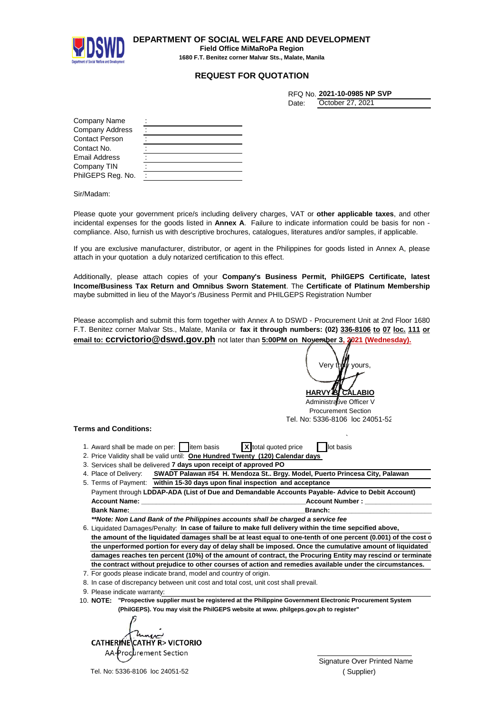

**DEPARTMENT OF SOCIAL WELFARE AND DEVELOPMENT Field Office MiMaRoPa Region 1680 F.T. Benitez corner Malvar Sts., Malate, Manila**

## **REQUEST FOR QUOTATION**

| RFQ No. 2021-10-0985 NP SVP |  |
|-----------------------------|--|
|                             |  |

| )ctober 27 - |  | 202 |
|--------------|--|-----|

| October 27, 2021 |
|------------------|
|------------------|

Date:

| Company Name           |  |
|------------------------|--|
| <b>Company Address</b> |  |
| <b>Contact Person</b>  |  |
| Contact No.            |  |
| Email Address          |  |
| Company TIN            |  |
| PhilGEPS Reg. No.      |  |

Sir/Madam:

Please quote your government price/s including delivery charges, VAT or **other applicable taxes**, and other incidental expenses for the goods listed in **Annex A**. Failure to indicate information could be basis for non compliance. Also, furnish us with descriptive brochures, catalogues, literatures and/or samples, if applicable.

If you are exclusive manufacturer, distributor, or agent in the Philippines for goods listed in Annex A, please attach in your quotation a duly notarized certification to this effect.

Additionally, please attach copies of your **Company's Business Permit, PhilGEPS Certificate, latest Income/Business Tax Return and Omnibus Sworn Statement**. The **Certificate of Platinum Membership** maybe submitted in lieu of the Mayor's /Business Permit and PHILGEPS Registration Number

Please accomplish and submit this form together with Annex A to DSWD - Procurement Unit at 2nd Floor 1680 F.T. Benitez corner Malvar Sts., Malate, Manila or **fax it through numbers: (02) 336-8106 to 07 loc. 111 or email to: ccrvictorio@dswd.gov.ph** not later than **5:00PM on November 3, 2021 (Wednesday).**

**HARVY B. CALABIO** Very tr**uly** yours

Administrative Officer V Procurement Section Tel. No: 5336-8106 loc 24051-52

## **Terms and Conditions:**

- ` 1. Award shall be made on per: item basis **X** total quoted price in lot basis
- 2. Price Validity shall be valid until: One Hundred Twenty (120) Calendar days
- 3. Services shall be delivered 7 days upon receipt of approved PO
- 4. Place of Delivery: **SWADT Palawan #54 H. Mendoza St.. Brgy. Model, Puerto Princesa City, Palawan**

Payment through **LDDAP-ADA (List of Due and Demandable Accounts Payable- Advice to Debit Account) Account Name: Account Number : Account Number : Account Number : Account Number : Bank Name:\_\_\_\_\_\_\_\_\_\_\_\_\_\_\_\_\_\_\_\_\_\_\_\_\_\_\_\_\_\_\_\_\_\_\_\_\_\_\_\_\_\_\_\_\_\_\_\_Branch:\_\_\_\_\_\_\_\_\_\_\_\_\_\_\_\_\_\_\_\_\_\_\_\_\_\_\_\_\_\_\_\_\_\_\_\_\_\_** 5. Terms of Payment: **within 15-30 days upon final inspection and acceptance**

*\*\*Note: Non Land Bank of the Philippines accounts shall be charged a service fee*

6. Liquidated Damages/Penalty: In case of failure to make full delivery within the time sepcified above, the amount of the liquidated damages shall be at least equal to one-tenth of one percent (0.001) of the cost of **the unperformed portion for every day of delay shall be imposed. Once the cumulative amount of liquidated damages reaches ten percent (10%) of the amount of contract, the Procuring Entity may rescind or terminate the contract without prejudice to other courses of action and remedies available under the circumstances.**

- 7. For goods please indicate brand, model and country of origin.
- 8. In case of discrepancy between unit cost and total cost, unit cost shall prevail.
- 9. Please indicate warranty:
- 10. **"Prospective supplier must be registered at the Philippine Government Electronic Procurement System NOTE: (PhilGEPS). You may visit the PhilGEPS website at www. philgeps.gov.ph to register"**

**CATHERINE** CATHY R> VICTORIO Procurement Section  $\vee$ 

Tel. No: 5336-8106 loc 24051-52

Signature Over Printed Name ( Supplier)